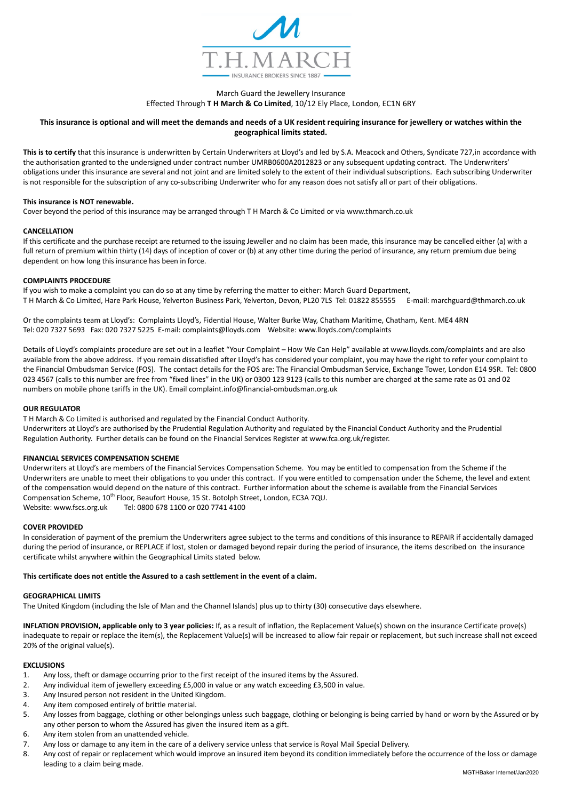

# March Guard the Jewellery Insurance Effected Through T H March & Co Limited, 10/12 Ely Place, London, EC1N 6RY

# This insurance is optional and will meet the demands and needs of a UK resident requiring insurance for jewellery or watches within the geographical limits stated.

This is to certify that this insurance is underwritten by Certain Underwriters at Lloyd's and led by S.A. Meacock and Others, Syndicate 727, in accordance with the authorisation granted to the undersigned under contract number UMRB0600A2012823 or any subsequent updating contract. The Underwriters' obligations under this insurance are several and not joint and are limited solely to the extent of their individual subscriptions. Each subscribing Underwriter is not responsible for the subscription of any co-subscribing Underwriter who for any reason does not satisfy all or part of their obligations.

### This insurance is NOT renewable.

Cover beyond the period of this insurance may be arranged through T H March & Co Limited or via www.thmarch.co.uk

#### CANCELLATION

If this certificate and the purchase receipt are returned to the issuing Jeweller and no claim has been made, this insurance may be cancelled either (a) with a full return of premium within thirty (14) days of inception of cover or (b) at any other time during the period of insurance, any return premium due being dependent on how long this insurance has been in force.

#### COMPLAINTS PROCEDURE

If you wish to make a complaint you can do so at any time by referring the matter to either: March Guard Department, T H March & Co Limited, Hare Park House, Yelverton Business Park, Yelverton, Devon, PL20 7LS Tel: 01822 855555 E-mail: marchguard@thmarch.co.uk

Or the complaints team at Lloyd's: Complaints Lloyd's, Fidential House, Walter Burke Way, Chatham Maritime, Chatham, Kent. ME4 4RN Tel: 020 7327 5693 Fax: 020 7327 5225 E-mail: complaints@lloyds.com Website: www.lloyds.com/complaints

Details of Lloyd's complaints procedure are set out in a leaflet "Your Complaint – How We Can Help" available at www.lloyds.com/complaints and are also available from the above address. If you remain dissatisfied after Lloyd's has considered your complaint, you may have the right to refer your complaint to the Financial Ombudsman Service (FOS). The contact details for the FOS are: The Financial Ombudsman Service, Exchange Tower, London E14 9SR. Tel: 0800 023 4567 (calls to this number are free from "fixed lines" in the UK) or 0300 123 9123 (calls to this number are charged at the same rate as 01 and 02 numbers on mobile phone tariffs in the UK). Email complaint.info@financial-ombudsman.org.uk

## OUR REGULATOR

T H March & Co Limited is authorised and regulated by the Financial Conduct Authority. Underwriters at Lloyd's are authorised by the Prudential Regulation Authority and regulated by the Financial Conduct Authority and the Prudential Regulation Authority. Further details can be found on the Financial Services Register at www.fca.org.uk/register.

## FINANCIAL SERVICES COMPENSATION SCHEME

Underwriters at Lloyd's are members of the Financial Services Compensation Scheme. You may be entitled to compensation from the Scheme if the Underwriters are unable to meet their obligations to you under this contract. If you were entitled to compensation under the Scheme, the level and extent of the compensation would depend on the nature of this contract. Further information about the scheme is available from the Financial Services Compensation Scheme, 10<sup>th</sup> Floor, Beaufort House, 15 St. Botolph Street, London, EC3A 7QU. Website: www.fscs.org.uk Tel: 0800 678 1100 or 020 7741 4100

#### COVER PROVIDED

In consideration of payment of the premium the Underwriters agree subject to the terms and conditions of this insurance to REPAIR if accidentally damaged during the period of insurance, or REPLACE if lost, stolen or damaged beyond repair during the period of insurance, the items described on the insurance certificate whilst anywhere within the Geographical Limits stated below.

# This certificate does not entitle the Assured to a cash settlement in the event of a claim.

#### GEOGRAPHICAL LIMITS

The United Kingdom (including the Isle of Man and the Channel Islands) plus up to thirty (30) consecutive days elsewhere.

INFLATION PROVISION, applicable only to 3 year policies: If, as a result of inflation, the Replacement Value(s) shown on the insurance Certificate prove(s) inadequate to repair or replace the item(s), the Replacement Value(s) will be increased to allow fair repair or replacement, but such increase shall not exceed 20% of the original value(s).

#### EXCLUSIONS

- 1. Any loss, theft or damage occurring prior to the first receipt of the insured items by the Assured.
- 2. Any individual item of jewellery exceeding £5,000 in value or any watch exceeding £3,500 in value.
- 3. Any Insured person not resident in the United Kingdom.
- 4. Any item composed entirely of brittle material.
- 5. Any losses from baggage, clothing or other belongings unless such baggage, clothing or belonging is being carried by hand or worn by the Assured or by any other person to whom the Assured has given the insured item as a gift.
- 6. Any item stolen from an unattended vehicle.
- 7. Any loss or damage to any item in the care of a delivery service unless that service is Royal Mail Special Delivery.
- 8. Any cost of repair or replacement which would improve an insured item beyond its condition immediately before the occurrence of the loss or damage leading to a claim being made.